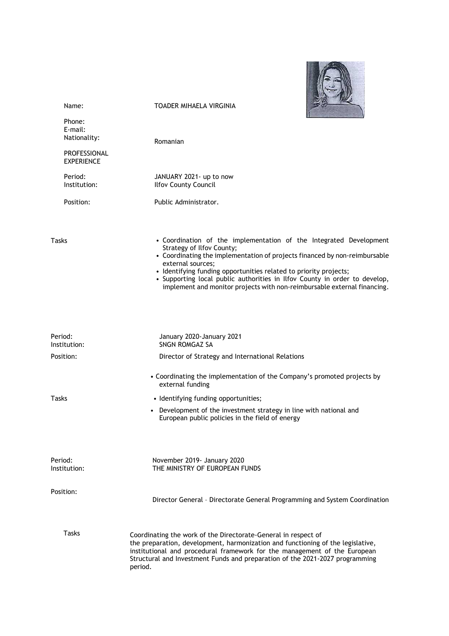

| Name:                             | <b>TOADER MIHAELA VIRGINIA</b>                                                                                                                                                                                                                                                                                                                                                                                                    |
|-----------------------------------|-----------------------------------------------------------------------------------------------------------------------------------------------------------------------------------------------------------------------------------------------------------------------------------------------------------------------------------------------------------------------------------------------------------------------------------|
| Phone:<br>E-mail:<br>Nationality: | Romanian                                                                                                                                                                                                                                                                                                                                                                                                                          |
| PROFESSIONAL<br><b>EXPERIENCE</b> |                                                                                                                                                                                                                                                                                                                                                                                                                                   |
| Period:<br>Institution:           | JANUARY 2021- up to now<br><b>Ilfov County Council</b>                                                                                                                                                                                                                                                                                                                                                                            |
| Position:                         | Public Administrator.                                                                                                                                                                                                                                                                                                                                                                                                             |
| Tasks                             | • Coordination of the implementation of the Integrated Development<br>Strategy of Ilfov County;<br>• Coordinating the implementation of projects financed by non-reimbursable<br>external sources;<br>• Identifying funding opportunities related to priority projects;<br>• Supporting local public authorities in Ilfov County in order to develop,<br>implement and monitor projects with non-reimbursable external financing. |
| Period:<br>Institution:           | January 2020-January 2021<br><b>SNGN ROMGAZ SA</b>                                                                                                                                                                                                                                                                                                                                                                                |
| Position:                         | Director of Strategy and International Relations                                                                                                                                                                                                                                                                                                                                                                                  |
|                                   | • Coordinating the implementation of the Company's promoted projects by<br>external funding                                                                                                                                                                                                                                                                                                                                       |
| Tasks                             | • Identifying funding opportunities;                                                                                                                                                                                                                                                                                                                                                                                              |
|                                   | • Development of the investment strategy in line with national and<br>European public policies in the field of energy                                                                                                                                                                                                                                                                                                             |
| Period:<br>Institution:           | November 2019- January 2020<br>THE MINISTRY OF EUROPEAN FUNDS                                                                                                                                                                                                                                                                                                                                                                     |
| Position:                         | Director General - Directorate General Programming and System Coordination                                                                                                                                                                                                                                                                                                                                                        |
| <b>Tasks</b>                      | Coordinating the work of the Directorate-General in respect of<br>the preparation, development, harmonization and functioning of the legislative,<br>institutional and procedural framework for the management of the European<br>Structural and Investment Funds and preparation of the 2021-2027 programming<br>period.                                                                                                         |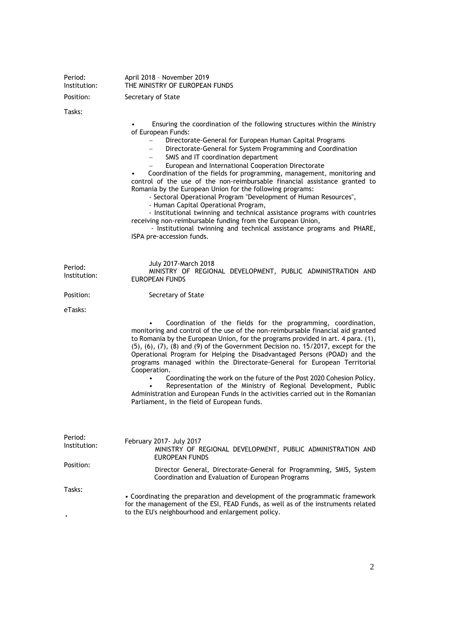| Period:<br>Institution:              | April 2018 - November 2019<br>THE MINISTRY OF EUROPEAN FUNDS                                                                                                                                                                                                                                                                                                                                                                                                                                                                                                                                                                                                                                                                                                                                                                                                                                                                          |
|--------------------------------------|---------------------------------------------------------------------------------------------------------------------------------------------------------------------------------------------------------------------------------------------------------------------------------------------------------------------------------------------------------------------------------------------------------------------------------------------------------------------------------------------------------------------------------------------------------------------------------------------------------------------------------------------------------------------------------------------------------------------------------------------------------------------------------------------------------------------------------------------------------------------------------------------------------------------------------------|
| Position:                            | Secretary of State                                                                                                                                                                                                                                                                                                                                                                                                                                                                                                                                                                                                                                                                                                                                                                                                                                                                                                                    |
| Tasks:                               | Ensuring the coordination of the following structures within the Ministry<br>of European Funds:<br>Directorate-General for European Human Capital Programs<br>$\overline{\phantom{0}}$<br>Directorate-General for System Programming and Coordination<br>SMIS and IT coordination department<br>European and International Cooperation Directorate<br>Coordination of the fields for programming, management, monitoring and<br>control of the use of the non-reimbursable financial assistance granted to<br>Romania by the European Union for the following programs:<br>- Sectoral Operational Program "Development of Human Resources",<br>- Human Capital Operational Program,<br>- Institutional twinning and technical assistance programs with countries<br>receiving non-reimbursable funding from the European Union,<br>- Institutional twinning and technical assistance programs and PHARE,<br>ISPA pre-accession funds. |
| Period:<br>Institution:<br>Position: | July 2017-March 2018<br>MINISTRY OF REGIONAL DEVELOPMENT, PUBLIC ADMINISTRATION AND<br><b>EUROPEAN FUNDS</b><br>Secretary of State                                                                                                                                                                                                                                                                                                                                                                                                                                                                                                                                                                                                                                                                                                                                                                                                    |
| eTasks:                              |                                                                                                                                                                                                                                                                                                                                                                                                                                                                                                                                                                                                                                                                                                                                                                                                                                                                                                                                       |
|                                      | Coordination of the fields for the programming, coordination,<br>monitoring and control of the use of the non-reimbursable financial aid granted<br>to Romania by the European Union, for the programs provided in art. 4 para. (1),<br>$(5)$ , $(6)$ , $(7)$ , $(8)$ and $(9)$ of the Government Decision no. 15/2017, except for the<br>Operational Program for Helping the Disadvantaged Persons (POAD) and the<br>programs managed within the Directorate-General for European Territorial<br>Cooperation.<br>Coordinating the work on the future of the Post 2020 Cohesion Policy.<br>Representation of the Ministry of Regional Development, Public<br>Administration and European Funds in the activities carried out in the Romanian<br>Parliament, in the field of European funds.                                                                                                                                           |
| Period:<br>Institution:              | February 2017- July 2017<br>MINISTRY OF REGIONAL DEVELOPMENT, PUBLIC ADMINISTRATION AND<br>EUROPEAN FUNDS                                                                                                                                                                                                                                                                                                                                                                                                                                                                                                                                                                                                                                                                                                                                                                                                                             |
| Position:                            | Director General, Directorate-General for Programming, SMIS, System<br>Coordination and Evaluation of European Programs                                                                                                                                                                                                                                                                                                                                                                                                                                                                                                                                                                                                                                                                                                                                                                                                               |
| Tasks:                               | • Coordinating the preparation and development of the programmatic framework<br>for the management of the ESI, FEAD Funds, as well as of the instruments related<br>to the EU's neighbourhood and enlargement policy.                                                                                                                                                                                                                                                                                                                                                                                                                                                                                                                                                                                                                                                                                                                 |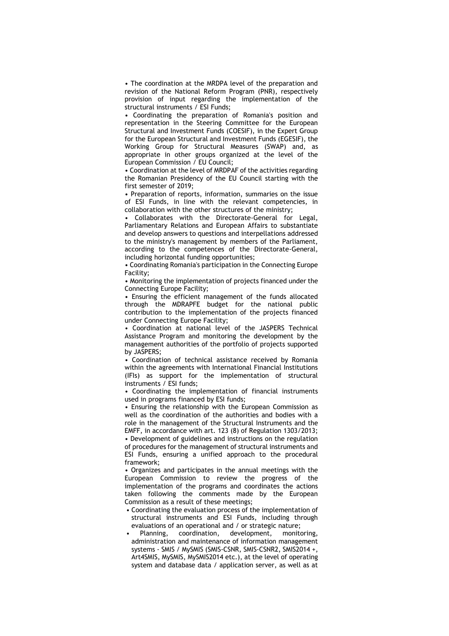• The coordination at the MRDPA level of the preparation and revision of the National Reform Program (PNR), respectively provision of input regarding the implementation of the structural instruments / ESI Funds;

• Coordinating the preparation of Romania's position and representation in the Steering Committee for the European Structural and Investment Funds (COESIF), in the Expert Group for the European Structural and Investment Funds (EGESIF), the Working Group for Structural Measures (SWAP) and, as appropriate in other groups organized at the level of the European Commission / EU Council;

• Coordination at the level of MRDPAF of the activities regarding the Romanian Presidency of the EU Council starting with the first semester of 2019;

• Preparation of reports, information, summaries on the issue of ESI Funds, in line with the relevant competencies, in collaboration with the other structures of the ministry;

• Collaborates with the Directorate-General for Legal, Parliamentary Relations and European Affairs to substantiate and develop answers to questions and interpellations addressed to the ministry's management by members of the Parliament, according to the competences of the Directorate-General, including horizontal funding opportunities;

• Coordinating Romania's participation in the Connecting Europe Facility;

• Monitoring the implementation of projects financed under the Connecting Europe Facility;

• Ensuring the efficient management of the funds allocated through the MDRAPFE budget for the national public contribution to the implementation of the projects financed under Connecting Europe Facility;

• Coordination at national level of the JASPERS Technical Assistance Program and monitoring the development by the management authorities of the portfolio of projects supported by JASPERS;

• Coordination of technical assistance received by Romania within the agreements with International Financial Institutions (IFIs) as support for the implementation of structural instruments / ESI funds;

• Coordinating the implementation of financial instruments used in programs financed by ESI funds;

• Ensuring the relationship with the European Commission as well as the coordination of the authorities and bodies with a role in the management of the Structural Instruments and the EMFF, in accordance with art. 123 (8) of Regulation 1303/2013; • Development of guidelines and instructions on the regulation of procedures for the management of structural instruments and ESI Funds, ensuring a unified approach to the procedural framework;

• Organizes and participates in the annual meetings with the European Commission to review the progress of the implementation of the programs and coordinates the actions taken following the comments made by the European Commission as a result of these meetings;

- Coordinating the evaluation process of the implementation of structural instruments and ESI Funds, including through evaluations of an operational and / or strategic nature;
- Planning, coordination, development, monitoring, administration and maintenance of information management systems - SMIS / MySMIS (SMIS-CSNR, SMIS-CSNR2, SMIS2014 +, Art4SMIS, MySMIS, MySMIS2014 etc.), at the level of operating system and database data / application server, as well as at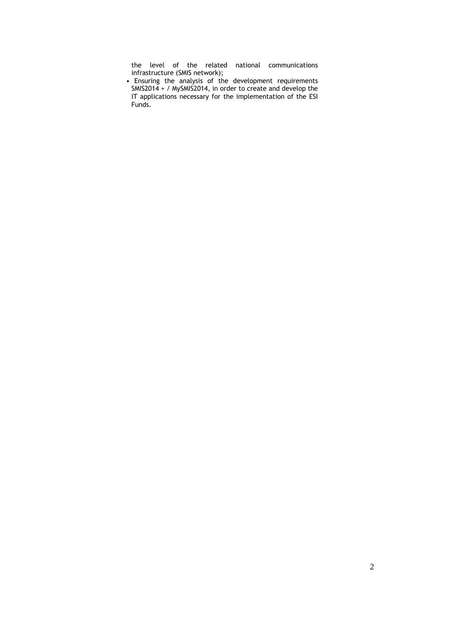the level of the related national communications infrastructure (SMIS network);

• Ensuring the analysis of the development requirements SMIS2014 + / MySMIS2014, in order to create and develop the IT applications necessary for the implementation of the ESI Funds.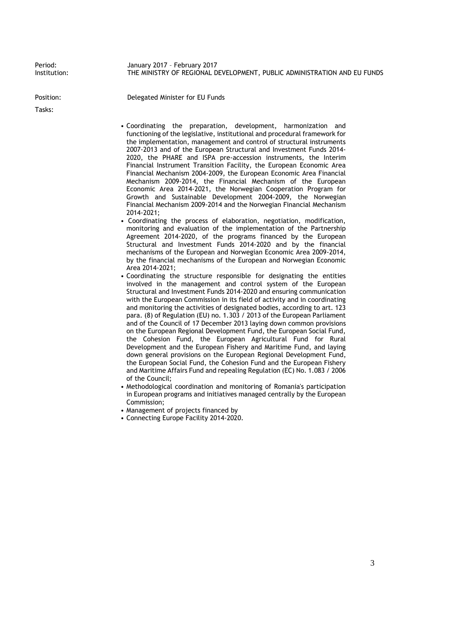Period: Institution:

January 2017 – February 2017 THE MINISTRY OF REGIONAL DEVELOPMENT, PUBLIC ADMINISTRATION AND EU FUNDS

Position: Delegated Minister for EU Funds

Tasks:

• Coordinating the preparation, development, harmonization and functioning of the legislative, institutional and procedural framework for the implementation, management and control of structural instruments 2007-2013 and of the European Structural and Investment Funds 2014- 2020, the PHARE and ISPA pre-accession instruments, the Interim Financial Instrument Transition Facility, the European Economic Area Financial Mechanism 2004-2009, the European Economic Area Financial Mechanism 2009-2014, the Financial Mechanism of the European Economic Area 2014-2021, the Norwegian Cooperation Program for Growth and Sustainable Development 2004-2009, the Norwegian Financial Mechanism 2009-2014 and the Norwegian Financial Mechanism 2014-2021;

- Coordinating the process of elaboration, negotiation, modification, monitoring and evaluation of the implementation of the Partnership Agreement 2014-2020, of the programs financed by the European Structural and Investment Funds 2014-2020 and by the financial mechanisms of the European and Norwegian Economic Area 2009-2014, by the financial mechanisms of the European and Norwegian Economic Area 2014-2021;
- Coordinating the structure responsible for designating the entities involved in the management and control system of the European Structural and Investment Funds 2014-2020 and ensuring communication with the European Commission in its field of activity and in coordinating and monitoring the activities of designated bodies, according to art. 123 para. (8) of Regulation (EU) no. 1.303 / 2013 of the European Parliament and of the Council of 17 December 2013 laying down common provisions on the European Regional Development Fund, the European Social Fund, the Cohesion Fund, the European Agricultural Fund for Rural Development and the European Fishery and Maritime Fund, and laying down general provisions on the European Regional Development Fund, the European Social Fund, the Cohesion Fund and the European Fishery and Maritime Affairs Fund and repealing Regulation (EC) No. 1.083 / 2006 of the Council;
- Methodological coordination and monitoring of Romania's participation in European programs and initiatives managed centrally by the European Commission;
- Management of projects financed by
- Connecting Europe Facility 2014-2020.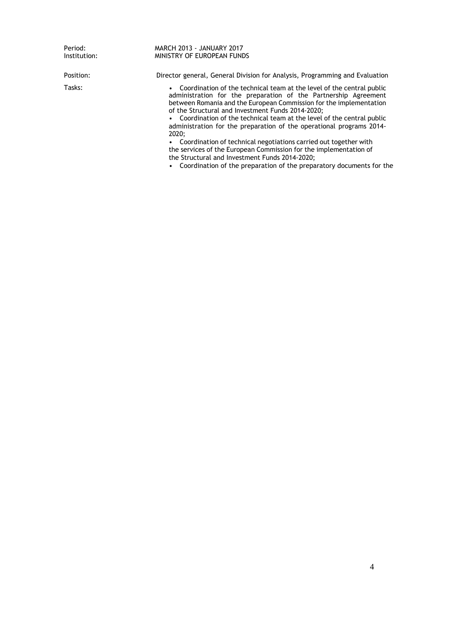Period: Institution:

MARCH 2013 - JANUARY 2017 MINISTRY OF EUROPEAN FUNDS

Position: Director general, General Division for Analysis, Programming and Evaluation

Tasks: • Coordination of the technical team at the level of the central public administration for the preparation of the Partnership Agreement between Romania and the European Commission for the implementation of the Structural and Investment Funds 2014-2020;

• Coordination of the technical team at the level of the central public administration for the preparation of the operational programs 2014- 2020;

• Coordination of technical negotiations carried out together with the services of the European Commission for the implementation of the Structural and Investment Funds 2014-2020;

• Coordination of the preparation of the preparatory documents for the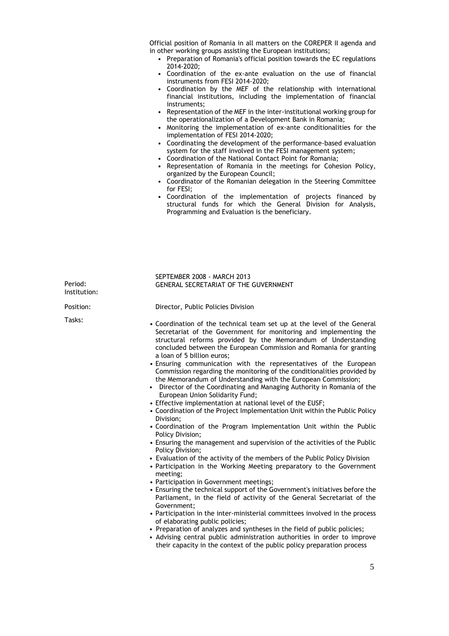Official position of Romania in all matters on the COREPER II agenda and in other working groups assisting the European institutions;

- Preparation of Romania's official position towards the EC regulations 2014-2020;
- Coordination of the ex-ante evaluation on the use of financial instruments from FESI 2014-2020;
- Coordination by the MEF of the relationship with international financial institutions, including the implementation of financial instruments;
- Representation of the MEF in the inter-institutional working group for the operationalization of a Development Bank in Romania;
- Monitoring the implementation of ex-ante conditionalities for the implementation of FESI 2014-2020;
- Coordinating the development of the performance-based evaluation system for the staff involved in the FESI management system;
- Coordination of the National Contact Point for Romania;
- Representation of Romania in the meetings for Cohesion Policy, organized by the European Council;
- Coordinator of the Romanian delegation in the Steering Committee for FESI;
- Coordination of the implementation of projects financed by structural funds for which the General Division for Analysis, Programming and Evaluation is the beneficiary.

| Period:<br>Institution: | SEPTEMBER 2008 - MARCH 2013<br><b>GENERAL SECRETARIAT OF THE GUVERNMENT</b>                                                                                                                                                                                                                                                                                                                                                                                                                                                                                                                                                                                                                                                                                                                                                                                                                                                                                                                                                                                                                                                                                                                                                                                                                                                                                                                                                                                                                                                                                                                                                                                                                                                                   |
|-------------------------|-----------------------------------------------------------------------------------------------------------------------------------------------------------------------------------------------------------------------------------------------------------------------------------------------------------------------------------------------------------------------------------------------------------------------------------------------------------------------------------------------------------------------------------------------------------------------------------------------------------------------------------------------------------------------------------------------------------------------------------------------------------------------------------------------------------------------------------------------------------------------------------------------------------------------------------------------------------------------------------------------------------------------------------------------------------------------------------------------------------------------------------------------------------------------------------------------------------------------------------------------------------------------------------------------------------------------------------------------------------------------------------------------------------------------------------------------------------------------------------------------------------------------------------------------------------------------------------------------------------------------------------------------------------------------------------------------------------------------------------------------|
| Position:               | Director, Public Policies Division                                                                                                                                                                                                                                                                                                                                                                                                                                                                                                                                                                                                                                                                                                                                                                                                                                                                                                                                                                                                                                                                                                                                                                                                                                                                                                                                                                                                                                                                                                                                                                                                                                                                                                            |
| Tasks:                  | • Coordination of the technical team set up at the level of the General<br>Secretariat of the Government for monitoring and implementing the<br>structural reforms provided by the Memorandum of Understanding<br>concluded between the European Commission and Romania for granting<br>a loan of 5 billion euros;<br>• Ensuring communication with the representatives of the European<br>Commission regarding the monitoring of the conditionalities provided by<br>the Memorandum of Understanding with the European Commission;<br>• Director of the Coordinating and Managing Authority in Romania of the<br>European Union Solidarity Fund;<br>• Effective implementation at national level of the EUSF;<br>• Coordination of the Project Implementation Unit within the Public Policy<br>Division;<br>• Coordination of the Program Implementation Unit within the Public<br>Policy Division;<br>• Ensuring the management and supervision of the activities of the Public<br>Policy Division;<br>• Evaluation of the activity of the members of the Public Policy Division<br>• Participation in the Working Meeting preparatory to the Government<br>meeting;<br>• Participation in Government meetings;<br>• Ensuring the technical support of the Government's initiatives before the<br>Parliament, in the field of activity of the General Secretariat of the<br>Government;<br>• Participation in the inter-ministerial committees involved in the process<br>of elaborating public policies;<br>• Preparation of analyzes and syntheses in the field of public policies;<br>• Advising central public administration authorities in order to improve<br>their capacity in the context of the public policy preparation process |
|                         | $\epsilon$                                                                                                                                                                                                                                                                                                                                                                                                                                                                                                                                                                                                                                                                                                                                                                                                                                                                                                                                                                                                                                                                                                                                                                                                                                                                                                                                                                                                                                                                                                                                                                                                                                                                                                                                    |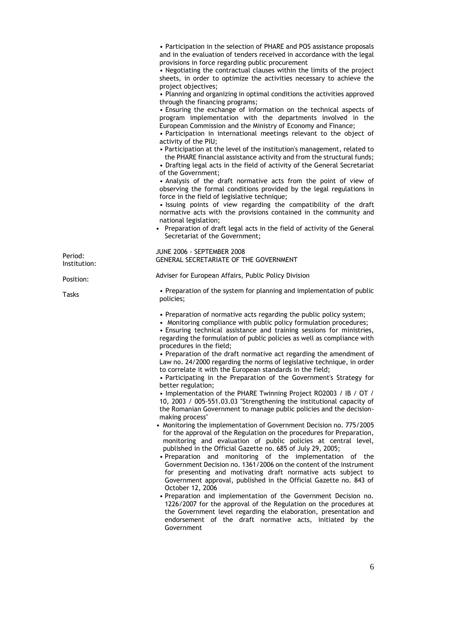• Participation in the selection of PHARE and POS assistance proposals and in the evaluation of tenders received in accordance with the legal provisions in force regarding public procurement • Negotiating the contractual clauses within the limits of the project sheets, in order to optimize the activities necessary to achieve the project objectives; • Planning and organizing in optimal conditions the activities approved through the financing programs; • Ensuring the exchange of information on the technical aspects of program implementation with the departments involved in the European Commission and the Ministry of Economy and Finance; • Participation in international meetings relevant to the object of activity of the PIU; • Participation at the level of the institution's management, related to the PHARE financial assistance activity and from the structural funds; • Drafting legal acts in the field of activity of the General Secretariat of the Government; • Analysis of the draft normative acts from the point of view of observing the formal conditions provided by the legal regulations in force in the field of legislative technique; • Issuing points of view regarding the compatibility of the draft normative acts with the provisions contained in the community and national legislation; • Preparation of draft legal acts in the field of activity of the General Secretariat of the Government; JUNE 2006 - SEPTEMBER 2008 GENERAL SECRETARIATE OF THE GOVERNMENT Adviser for European Affairs, Public Policy Division • Preparation of the system for planning and implementation of public policies; • Preparation of normative acts regarding the public policy system; • Monitoring compliance with public policy formulation procedures; • Ensuring technical assistance and training sessions for ministries, regarding the formulation of public policies as well as compliance with procedures in the field; • Preparation of the draft normative act regarding the amendment of Law no. 24/2000 regarding the norms of legislative technique, in order to correlate it with the European standards in the field; • Participating in the Preparation of the Government's Strategy for better regulation; • Implementation of the PHARE Twinning Project RO2003 / IB / OT / 10, 2003 / 005-551.03.03 "Strengthening the institutional capacity of the Romanian Government to manage public policies and the decisionmaking process" • Monitoring the implementation of Government Decision no. 775/2005 for the approval of the Regulation on the procedures for Preparation, monitoring and evaluation of public policies at central level, published in the Official Gazette no. 685 of July 29, 2005; • Preparation and monitoring of the implementation of the Government Decision no. 1361/2006 on the content of the instrument for presenting and motivating draft normative acts subject to Government approval, published in the Official Gazette no. 843 of October 12, 2006 • Preparation and implementation of the Government Decision no. 1226/2007 for the approval of the Regulation on the procedures at the Government level regarding the elaboration, presentation and endorsement of the draft normative acts, initiated by the Government Period: Institution: Position: Tasks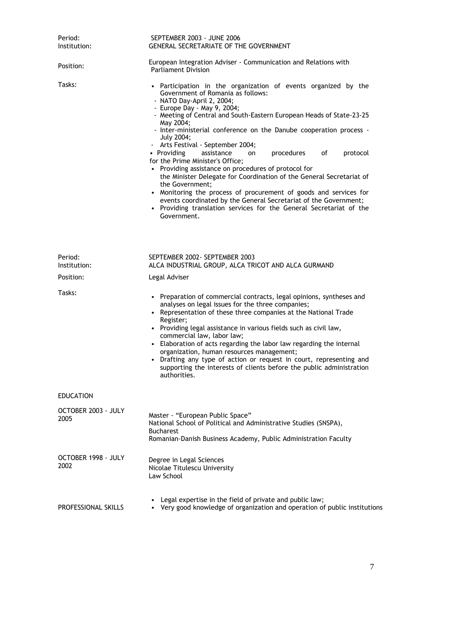| Period:<br>Institution:     | SEPTEMBER 2003 - JUNE 2006<br><b>GENERAL SECRETARIATE OF THE GOVERNMENT</b>                                                                                                                                                                                                                                                                                                                                                                                                                                                                                                                                                                                                                                                                                                                                                                                            |
|-----------------------------|------------------------------------------------------------------------------------------------------------------------------------------------------------------------------------------------------------------------------------------------------------------------------------------------------------------------------------------------------------------------------------------------------------------------------------------------------------------------------------------------------------------------------------------------------------------------------------------------------------------------------------------------------------------------------------------------------------------------------------------------------------------------------------------------------------------------------------------------------------------------|
| Position:                   | European Integration Adviser - Communication and Relations with<br><b>Parliament Division</b>                                                                                                                                                                                                                                                                                                                                                                                                                                                                                                                                                                                                                                                                                                                                                                          |
| Tasks:                      | • Participation in the organization of events organized by the<br>Government of Romania as follows:<br>- NATO Day-April 2, 2004;<br>- Europe Day - May 9, 2004;<br>- Meeting of Central and South-Eastern European Heads of State-23-25<br>May 2004;<br>- Inter-ministerial conference on the Danube cooperation process -<br>July 2004;<br>- Arts Festival - September 2004;<br>• Providing<br>assistance<br>procedures<br>of<br>protocol<br>on<br>for the Prime Minister's Office;<br>• Providing assistance on procedures of protocol for<br>the Minister Delegate for Coordination of the General Secretariat of<br>the Government;<br>• Monitoring the process of procurement of goods and services for<br>events coordinated by the General Secretariat of the Government;<br>• Providing translation services for the General Secretariat of the<br>Government. |
| Period:<br>Institution:     | SEPTEMBER 2002- SEPTEMBER 2003<br>ALCA INDUSTRIAL GROUP, ALCA TRICOT AND ALCA GURMAND                                                                                                                                                                                                                                                                                                                                                                                                                                                                                                                                                                                                                                                                                                                                                                                  |
| Position:                   | Legal Adviser                                                                                                                                                                                                                                                                                                                                                                                                                                                                                                                                                                                                                                                                                                                                                                                                                                                          |
| Tasks:                      | • Preparation of commercial contracts, legal opinions, syntheses and<br>analyses on legal issues for the three companies;<br>• Representation of these three companies at the National Trade<br>Register;<br>• Providing legal assistance in various fields such as civil law,<br>commercial law, labor law;<br>• Elaboration of acts regarding the labor law regarding the internal<br>organization, human resources management;<br>• Drafting any type of action or request in court, representing and<br>supporting the interests of clients before the public administration<br>authorities.                                                                                                                                                                                                                                                                       |
| <b>EDUCATION</b>            |                                                                                                                                                                                                                                                                                                                                                                                                                                                                                                                                                                                                                                                                                                                                                                                                                                                                        |
| OCTOBER 2003 - JULY<br>2005 | Master - "European Public Space"<br>National School of Political and Administrative Studies (SNSPA),<br><b>Bucharest</b><br>Romanian-Danish Business Academy, Public Administration Faculty                                                                                                                                                                                                                                                                                                                                                                                                                                                                                                                                                                                                                                                                            |
| OCTOBER 1998 - JULY<br>2002 | Degree in Legal Sciences<br>Nicolae Titulescu University<br>Law School                                                                                                                                                                                                                                                                                                                                                                                                                                                                                                                                                                                                                                                                                                                                                                                                 |
| PROFESSIONAL SKILLS         | Legal expertise in the field of private and public law;<br>Very good knowledge of organization and operation of public institutions                                                                                                                                                                                                                                                                                                                                                                                                                                                                                                                                                                                                                                                                                                                                    |